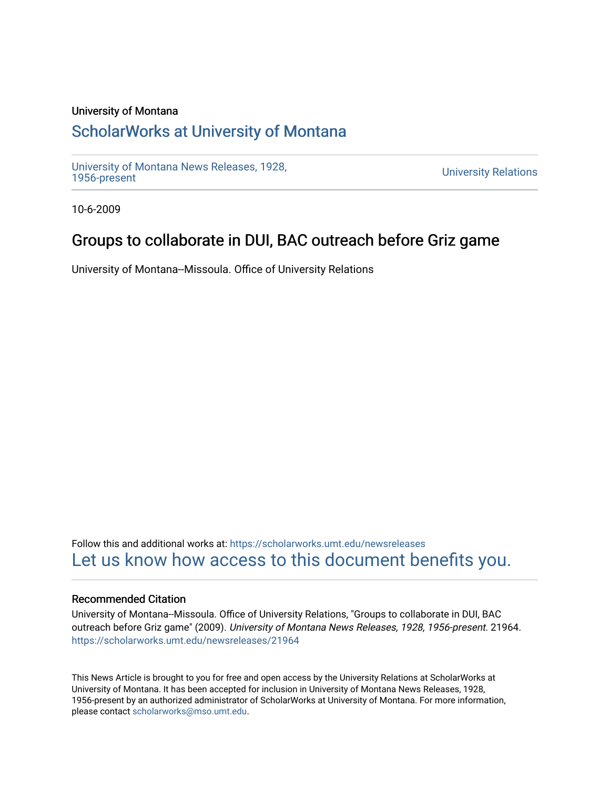### University of Montana

# [ScholarWorks at University of Montana](https://scholarworks.umt.edu/)

[University of Montana News Releases, 1928,](https://scholarworks.umt.edu/newsreleases) 

**University Relations** 

10-6-2009

## Groups to collaborate in DUI, BAC outreach before Griz game

University of Montana--Missoula. Office of University Relations

Follow this and additional works at: [https://scholarworks.umt.edu/newsreleases](https://scholarworks.umt.edu/newsreleases?utm_source=scholarworks.umt.edu%2Fnewsreleases%2F21964&utm_medium=PDF&utm_campaign=PDFCoverPages) [Let us know how access to this document benefits you.](https://goo.gl/forms/s2rGfXOLzz71qgsB2) 

#### Recommended Citation

University of Montana--Missoula. Office of University Relations, "Groups to collaborate in DUI, BAC outreach before Griz game" (2009). University of Montana News Releases, 1928, 1956-present. 21964. [https://scholarworks.umt.edu/newsreleases/21964](https://scholarworks.umt.edu/newsreleases/21964?utm_source=scholarworks.umt.edu%2Fnewsreleases%2F21964&utm_medium=PDF&utm_campaign=PDFCoverPages) 

This News Article is brought to you for free and open access by the University Relations at ScholarWorks at University of Montana. It has been accepted for inclusion in University of Montana News Releases, 1928, 1956-present by an authorized administrator of ScholarWorks at University of Montana. For more information, please contact [scholarworks@mso.umt.edu.](mailto:scholarworks@mso.umt.edu)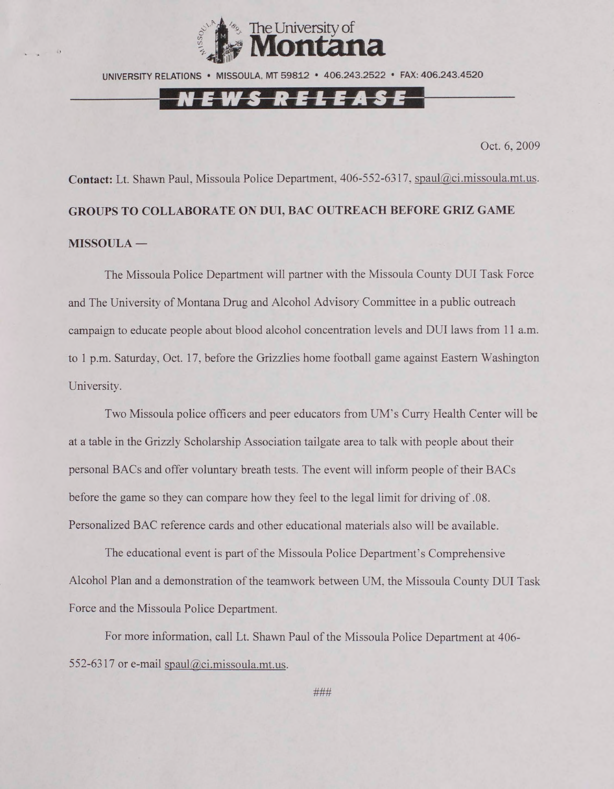

UNIVERSITY RELATIONS • MISSOULA. MT 59812 • 406.243.2522 • FAX: 406.243.4520

### <u>NEWS RELEASE</u>

Oct. 6, 2009

Contact: Lt. Shawn Paul, Missoula Police Department, 406-552-6317, spaul@ci.missoula.mt.us. **GROUPS TO COLLABORATE ON DUI, BAC OUTREACH BEFORE GRIZ GAME MISSOULA —**

The Missoula Police Department will partner with the Missoula County DUI Task Force and The University of Montana Drug and Alcohol Advisory Committee in a public outreach campaign to educate people about blood alcohol concentration levels and DUI laws from 11 a.m. to 1 p.m. Saturday, Oct. 17, before the Grizzlies home football game against Eastern Washington University.

Two Missoula police officers and peer educators from UM's Curry Health Center will be at a table in the Grizzly Scholarship Association tailgate area to talk with people about their personal BACs and offer voluntary breath tests. The event will inform people of their BACs before the game so they can compare how they feel to the legal limit for driving of .08. Personalized BAC reference cards and other educational materials also will be available.

The educational event is part of the Missoula Police Department's Comprehensive Alcohol Plan and a demonstration of the teamwork between UM. the Missoula County DUI Task Force and the Missoula Police Department.

For more information, call Lt. Shawn Paul of the Missoula Police Department at 406 552-6317 or e-mail [spaul@ci.missoula.mt.us](mailto:spaul@ci.missoula.mt.us).